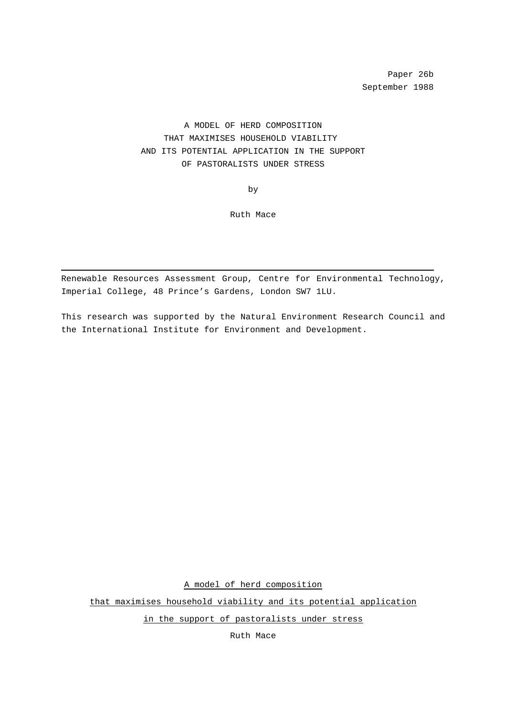Paper 26b September 1988

A MODEL OF HERD COMPOSITION THAT MAXIMISES HOUSEHOLD VIABILITY AND ITS POTENTIAL APPLICATION IN THE SUPPORT OF PASTORALISTS UNDER STRESS

by

Ruth Mace

Renewable Resources Assessment Group, Centre for Environmental Technology, Imperial College, 48 Prince's Gardens, London SW7 1LU.

This research was supported by the Natural Environment Research Council and the International Institute for Environment and Development.

A model of herd composition

that maximises household viability and its potential application

in the support of pastoralists under stress

Ruth Mace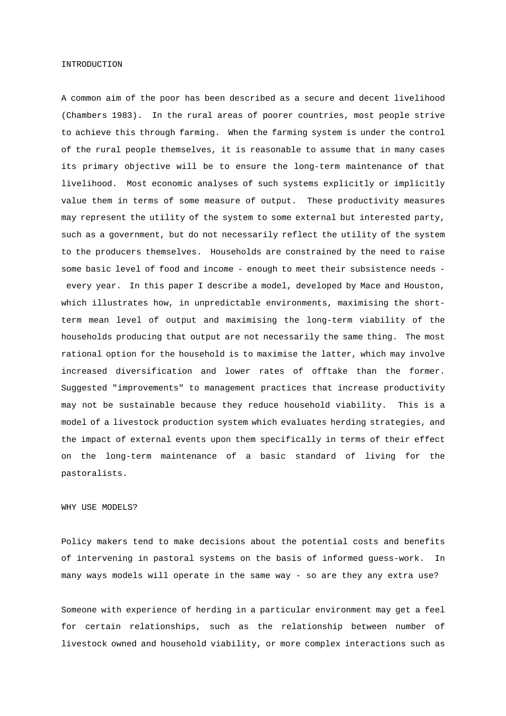#### INTRODUCTION

A common aim of the poor has been described as a secure and decent livelihood (Chambers 1983). In the rural areas of poorer countries, most people strive to achieve this through farming. When the farming system is under the control of the rural people themselves, it is reasonable to assume that in many cases its primary objective will be to ensure the long-term maintenance of that livelihood. Most economic analyses of such systems explicitly or implicitly value them in terms of some measure of output. These productivity measures may represent the utility of the system to some external but interested party, such as a government, but do not necessarily reflect the utility of the system to the producers themselves. Households are constrained by the need to raise some basic level of food and income - enough to meet their subsistence needs every year. In this paper I describe a model, developed by Mace and Houston, which illustrates how, in unpredictable environments, maximising the shortterm mean level of output and maximising the long-term viability of the households producing that output are not necessarily the same thing. The most rational option for the household is to maximise the latter, which may involve increased diversification and lower rates of offtake than the former. Suggested "improvements" to management practices that increase productivity may not be sustainable because they reduce household viability. This is a model of a livestock production system which evaluates herding strategies, and the impact of external events upon them specifically in terms of their effect on the long-term maintenance of a basic standard of living for the pastoralists.

## WHY USE MODELS?

Policy makers tend to make decisions about the potential costs and benefits of intervening in pastoral systems on the basis of informed guess-work. In many ways models will operate in the same way - so are they any extra use?

Someone with experience of herding in a particular environment may get a feel for certain relationships, such as the relationship between number of livestock owned and household viability, or more complex interactions such as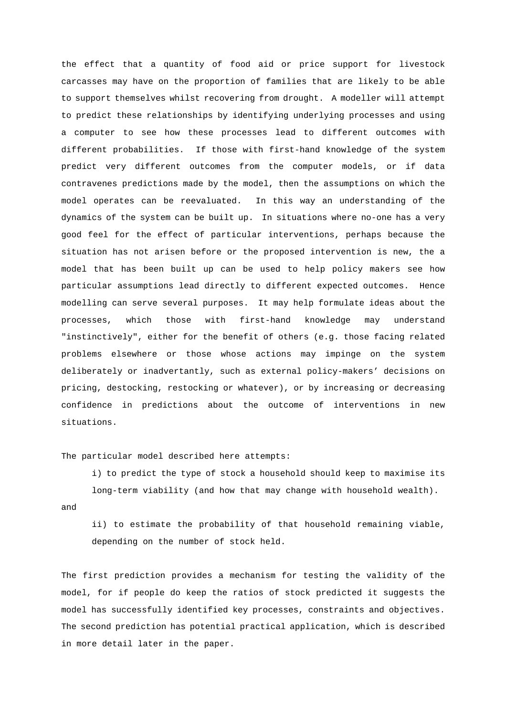the effect that a quantity of food aid or price support for livestock carcasses may have on the proportion of families that are likely to be able to support themselves whilst recovering from drought. A modeller will attempt to predict these relationships by identifying underlying processes and using a computer to see how these processes lead to different outcomes with different probabilities. If those with first-hand knowledge of the system predict very different outcomes from the computer models, or if data contravenes predictions made by the model, then the assumptions on which the model operates can be reevaluated. In this way an understanding of the dynamics of the system can be built up. In situations where no-one has a very good feel for the effect of particular interventions, perhaps because the situation has not arisen before or the proposed intervention is new, the a model that has been built up can be used to help policy makers see how particular assumptions lead directly to different expected outcomes. Hence modelling can serve several purposes. It may help formulate ideas about the processes, which those with first-hand knowledge may understand "instinctively", either for the benefit of others (e.g. those facing related problems elsewhere or those whose actions may impinge on the system deliberately or inadvertantly, such as external policy-makers' decisions on pricing, destocking, restocking or whatever), or by increasing or decreasing confidence in predictions about the outcome of interventions in new situations.

The particular model described here attempts:

i) to predict the type of stock a household should keep to maximise its long-term viability (and how that may change with household wealth).

and

ii) to estimate the probability of that household remaining viable, depending on the number of stock held.

The first prediction provides a mechanism for testing the validity of the model, for if people do keep the ratios of stock predicted it suggests the model has successfully identified key processes, constraints and objectives. The second prediction has potential practical application, which is described in more detail later in the paper.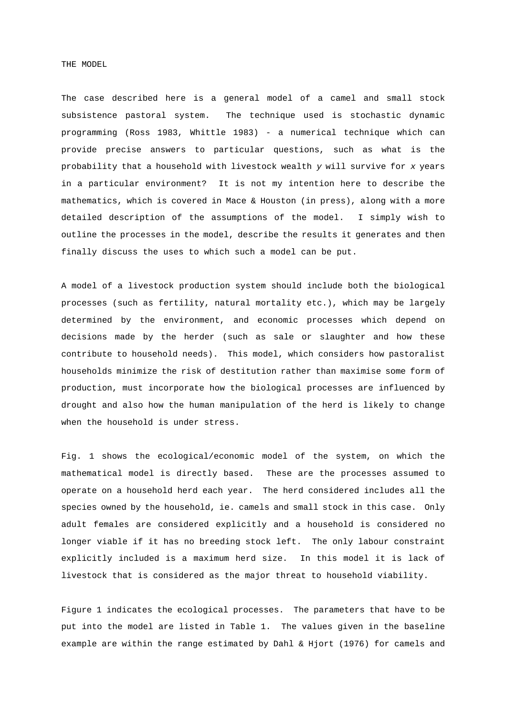THE MODEL

The case described here is a general model of a camel and small stock subsistence pastoral system. The technique used is stochastic dynamic programming (Ross 1983, Whittle 1983) - a numerical technique which can provide precise answers to particular questions, such as what is the probability that a household with livestock wealth <sup>y</sup> will survive for <sup>x</sup> years in a particular environment? It is not my intention here to describe the mathematics, which is covered in Mace & Houston (in press), along with a more detailed description of the assumptions of the model. I simply wish to outline the processes in the model, describe the results it generates and then finally discuss the uses to which such a model can be put.

A model of a livestock production system should include both the biological processes (such as fertility, natural mortality etc.), which may be largely determined by the environment, and economic processes which depend on decisions made by the herder (such as sale or slaughter and how these contribute to household needs). This model, which considers how pastoralist households minimize the risk of destitution rather than maximise some form of production, must incorporate how the biological processes are influenced by drought and also how the human manipulation of the herd is likely to change when the household is under stress.

Fig. 1 shows the ecological/economic model of the system, on which the mathematical model is directly based. These are the processes assumed to operate on a household herd each year. The herd considered includes all the species owned by the household, ie. camels and small stock in this case. Only adult females are considered explicitly and a household is considered no longer viable if it has no breeding stock left. The only labour constraint explicitly included is a maximum herd size. In this model it is lack of livestock that is considered as the major threat to household viability.

Figure 1 indicates the ecological processes. The parameters that have to be put into the model are listed in Table 1. The values given in the baseline example are within the range estimated by Dahl & Hjort (1976) for camels and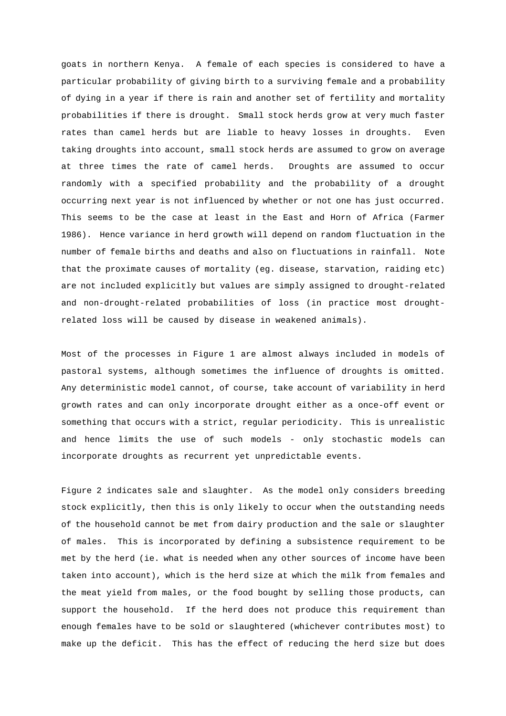goats in northern Kenya. A female of each species is considered to have a particular probability of giving birth to a surviving female and a probability of dying in a year if there is rain and another set of fertility and mortality probabilities if there is drought. Small stock herds grow at very much faster rates than camel herds but are liable to heavy losses in droughts. Even taking droughts into account, small stock herds are assumed to grow on average at three times the rate of camel herds. Droughts are assumed to occur randomly with a specified probability and the probability of a drought occurring next year is not influenced by whether or not one has just occurred. This seems to be the case at least in the East and Horn of Africa (Farmer 1986). Hence variance in herd growth will depend on random fluctuation in the number of female births and deaths and also on fluctuations in rainfall. Note that the proximate causes of mortality (eg. disease, starvation, raiding etc) are not included explicitly but values are simply assigned to drought-related and non-drought-related probabilities of loss (in practice most droughtrelated loss will be caused by disease in weakened animals).

Most of the processes in Figure 1 are almost always included in models of pastoral systems, although sometimes the influence of droughts is omitted. Any deterministic model cannot, of course, take account of variability in herd growth rates and can only incorporate drought either as a once-off event or something that occurs with a strict, regular periodicity. This is unrealistic and hence limits the use of such models - only stochastic models can incorporate droughts as recurrent yet unpredictable events.

Figure 2 indicates sale and slaughter. As the model only considers breeding stock explicitly, then this is only likely to occur when the outstanding needs of the household cannot be met from dairy production and the sale or slaughter of males. This is incorporated by defining a subsistence requirement to be met by the herd (ie. what is needed when any other sources of income have been taken into account), which is the herd size at which the milk from females and the meat yield from males, or the food bought by selling those products, can support the household. If the herd does not produce this requirement than enough females have to be sold or slaughtered (whichever contributes most) to make up the deficit. This has the effect of reducing the herd size but does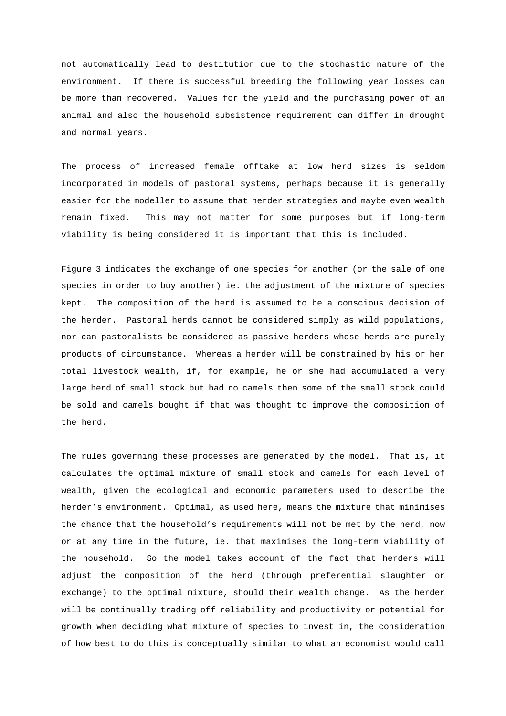not automatically lead to destitution due to the stochastic nature of the environment. If there is successful breeding the following year losses can be more than recovered. Values for the yield and the purchasing power of an animal and also the household subsistence requirement can differ in drought and normal years.

The process of increased female offtake at low herd sizes is seldom incorporated in models of pastoral systems, perhaps because it is generally easier for the modeller to assume that herder strategies and maybe even wealth remain fixed. This may not matter for some purposes but if long-term viability is being considered it is important that this is included.

Figure 3 indicates the exchange of one species for another (or the sale of one species in order to buy another) ie. the adjustment of the mixture of species kept. The composition of the herd is assumed to be a conscious decision of the herder. Pastoral herds cannot be considered simply as wild populations, nor can pastoralists be considered as passive herders whose herds are purely products of circumstance. Whereas a herder will be constrained by his or her total livestock wealth, if, for example, he or she had accumulated a very large herd of small stock but had no camels then some of the small stock could be sold and camels bought if that was thought to improve the composition of the herd.

The rules governing these processes are generated by the model. That is, it calculates the optimal mixture of small stock and camels for each level of wealth, given the ecological and economic parameters used to describe the herder's environment. Optimal, as used here, means the mixture that minimises the chance that the household's requirements will not be met by the herd, now or at any time in the future, ie. that maximises the long-term viability of the household. So the model takes account of the fact that herders will adjust the composition of the herd (through preferential slaughter or exchange) to the optimal mixture, should their wealth change. As the herder will be continually trading off reliability and productivity or potential for growth when deciding what mixture of species to invest in, the consideration of how best to do this is conceptually similar to what an economist would call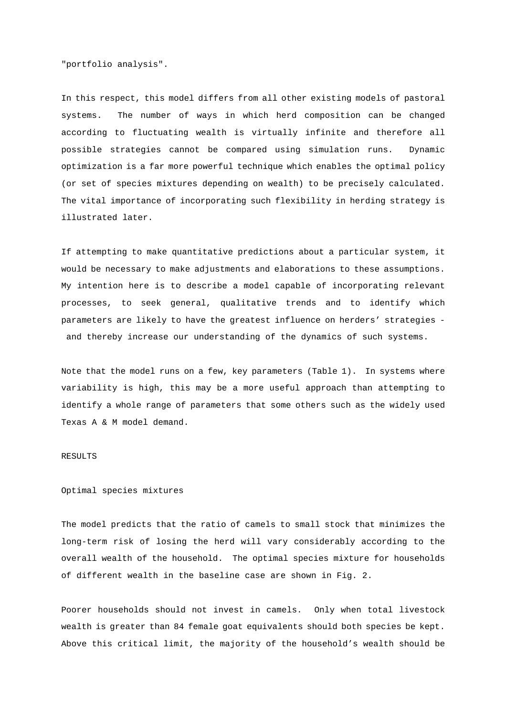"portfolio analysis".

In this respect, this model differs from all other existing models of pastoral systems. The number of ways in which herd composition can be changed according to fluctuating wealth is virtually infinite and therefore all possible strategies cannot be compared using simulation runs. Dynamic optimization is a far more powerful technique which enables the optimal policy (or set of species mixtures depending on wealth) to be precisely calculated. The vital importance of incorporating such flexibility in herding strategy is illustrated later.

If attempting to make quantitative predictions about a particular system, it would be necessary to make adjustments and elaborations to these assumptions. My intention here is to describe a model capable of incorporating relevant processes, to seek general, qualitative trends and to identify which parameters are likely to have the greatest influence on herders' strategies and thereby increase our understanding of the dynamics of such systems.

Note that the model runs on a few, key parameters (Table 1). In systems where variability is high, this may be a more useful approach than attempting to identify a whole range of parameters that some others such as the widely used Texas A & M model demand.

## RESULTS

Optimal species mixtures

The model predicts that the ratio of camels to small stock that minimizes the long-term risk of losing the herd will vary considerably according to the overall wealth of the household. The optimal species mixture for households of different wealth in the baseline case are shown in Fig. 2.

Poorer households should not invest in camels. Only when total livestock wealth is greater than 84 female goat equivalents should both species be kept. Above this critical limit, the majority of the household's wealth should be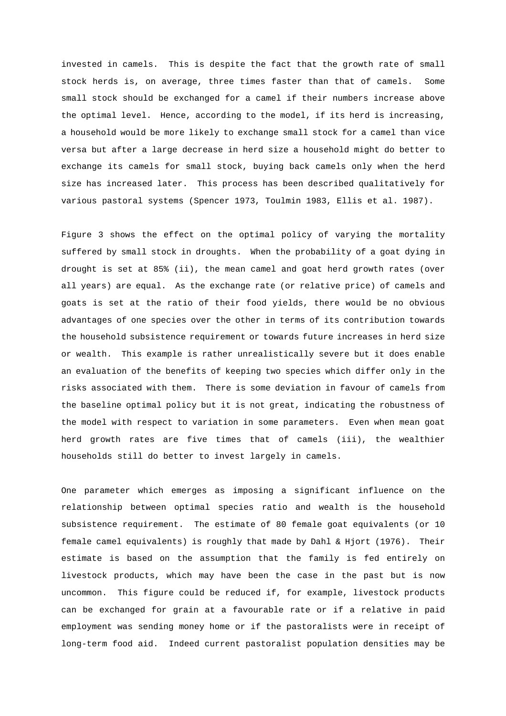invested in camels. This is despite the fact that the growth rate of small stock herds is, on average, three times faster than that of camels. Some small stock should be exchanged for a camel if their numbers increase above the optimal level. Hence, according to the model, if its herd is increasing, a household would be more likely to exchange small stock for a camel than vice versa but after a large decrease in herd size a household might do better to exchange its camels for small stock, buying back camels only when the herd size has increased later. This process has been described qualitatively for various pastoral systems (Spencer 1973, Toulmin 1983, Ellis et al. 1987).

Figure 3 shows the effect on the optimal policy of varying the mortality suffered by small stock in droughts. When the probability of a goat dying in drought is set at 85% (ii), the mean camel and goat herd growth rates (over all years) are equal. As the exchange rate (or relative price) of camels and goats is set at the ratio of their food yields, there would be no obvious advantages of one species over the other in terms of its contribution towards the household subsistence requirement or towards future increases in herd size or wealth. This example is rather unrealistically severe but it does enable an evaluation of the benefits of keeping two species which differ only in the risks associated with them. There is some deviation in favour of camels from the baseline optimal policy but it is not great, indicating the robustness of the model with respect to variation in some parameters. Even when mean goat herd growth rates are five times that of camels (iii), the wealthier households still do better to invest largely in camels.

One parameter which emerges as imposing a significant influence on the relationship between optimal species ratio and wealth is the household subsistence requirement. The estimate of 80 female goat equivalents (or 10 female camel equivalents) is roughly that made by Dahl & Hjort (1976). Their estimate is based on the assumption that the family is fed entirely on livestock products, which may have been the case in the past but is now uncommon. This figure could be reduced if, for example, livestock products can be exchanged for grain at a favourable rate or if a relative in paid employment was sending money home or if the pastoralists were in receipt of long-term food aid. Indeed current pastoralist population densities may be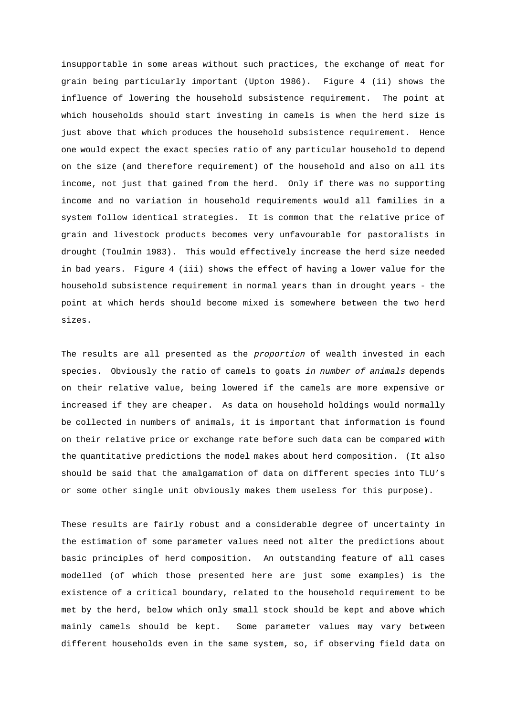insupportable in some areas without such practices, the exchange of meat for grain being particularly important (Upton 1986). Figure 4 (ii) shows the influence of lowering the household subsistence requirement. The point at which households should start investing in camels is when the herd size is just above that which produces the household subsistence requirement. Hence one would expect the exact species ratio of any particular household to depend on the size (and therefore requirement) of the household and also on all its income, not just that gained from the herd. Only if there was no supporting income and no variation in household requirements would all families in a system follow identical strategies. It is common that the relative price of grain and livestock products becomes very unfavourable for pastoralists in drought (Toulmin 1983). This would effectively increase the herd size needed in bad years. Figure 4 (iii) shows the effect of having a lower value for the household subsistence requirement in normal years than in drought years - the point at which herds should become mixed is somewhere between the two herd sizes.

The results are all presented as the proportion of wealth invested in each species. Obviously the ratio of camels to goats in number of animals depends on their relative value, being lowered if the camels are more expensive or increased if they are cheaper. As data on household holdings would normally be collected in numbers of animals, it is important that information is found on their relative price or exchange rate before such data can be compared with the quantitative predictions the model makes about herd composition. (It also should be said that the amalgamation of data on different species into TLU's or some other single unit obviously makes them useless for this purpose).

These results are fairly robust and a considerable degree of uncertainty in the estimation of some parameter values need not alter the predictions about basic principles of herd composition. An outstanding feature of all cases modelled (of which those presented here are just some examples) is the existence of a critical boundary, related to the household requirement to be met by the herd, below which only small stock should be kept and above which mainly camels should be kept. Some parameter values may vary between different households even in the same system, so, if observing field data on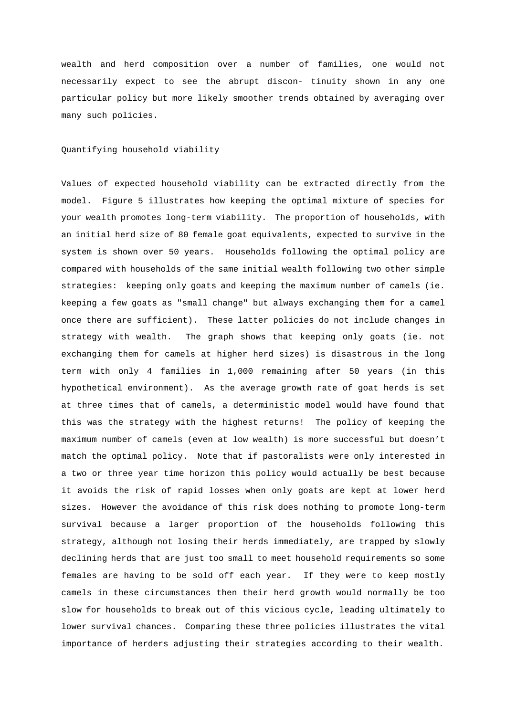wealth and herd composition over a number of families, one would not necessarily expect to see the abrupt discon- tinuity shown in any one particular policy but more likely smoother trends obtained by averaging over many such policies.

Quantifying household viability

Values of expected household viability can be extracted directly from the model. Figure 5 illustrates how keeping the optimal mixture of species for your wealth promotes long-term viability. The proportion of households, with an initial herd size of 80 female goat equivalents, expected to survive in the system is shown over 50 years. Households following the optimal policy are compared with households of the same initial wealth following two other simple strategies: keeping only goats and keeping the maximum number of camels (ie. keeping a few goats as "small change" but always exchanging them for a camel once there are sufficient). These latter policies do not include changes in strategy with wealth. The graph shows that keeping only goats (ie. not exchanging them for camels at higher herd sizes) is disastrous in the long term with only 4 families in 1,000 remaining after 50 years (in this hypothetical environment). As the average growth rate of goat herds is set at three times that of camels, a deterministic model would have found that this was the strategy with the highest returns! The policy of keeping the maximum number of camels (even at low wealth) is more successful but doesn't match the optimal policy. Note that if pastoralists were only interested in a two or three year time horizon this policy would actually be best because it avoids the risk of rapid losses when only goats are kept at lower herd sizes. However the avoidance of this risk does nothing to promote long-term survival because a larger proportion of the households following this strategy, although not losing their herds immediately, are trapped by slowly declining herds that are just too small to meet household requirements so some females are having to be sold off each year. If they were to keep mostly camels in these circumstances then their herd growth would normally be too slow for households to break out of this vicious cycle, leading ultimately to lower survival chances. Comparing these three policies illustrates the vital importance of herders adjusting their strategies according to their wealth.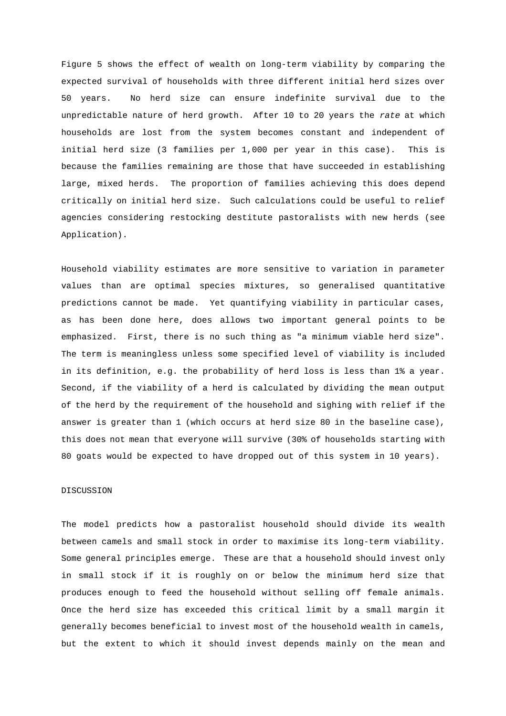Figure 5 shows the effect of wealth on long-term viability by comparing the expected survival of households with three different initial herd sizes over 50 years. No herd size can ensure indefinite survival due to the unpredictable nature of herd growth. After 10 to 20 years the rate at which households are lost from the system becomes constant and independent of initial herd size (3 families per 1,000 per year in this case). This is because the families remaining are those that have succeeded in establishing large, mixed herds. The proportion of families achieving this does depend critically on initial herd size. Such calculations could be useful to relief agencies considering restocking destitute pastoralists with new herds (see Application).

Household viability estimates are more sensitive to variation in parameter values than are optimal species mixtures, so generalised quantitative predictions cannot be made. Yet quantifying viability in particular cases, as has been done here, does allows two important general points to be emphasized. First, there is no such thing as "a minimum viable herd size". The term is meaningless unless some specified level of viability is included in its definition, e.g. the probability of herd loss is less than 1% a year. Second, if the viability of a herd is calculated by dividing the mean output of the herd by the requirement of the household and sighing with relief if the answer is greater than 1 (which occurs at herd size 80 in the baseline case), this does not mean that everyone will survive (30% of households starting with 80 goats would be expected to have dropped out of this system in 10 years).

# DISCUSSION

The model predicts how a pastoralist household should divide its wealth between camels and small stock in order to maximise its long-term viability. Some general principles emerge. These are that a household should invest only in small stock if it is roughly on or below the minimum herd size that produces enough to feed the household without selling off female animals. Once the herd size has exceeded this critical limit by a small margin it generally becomes beneficial to invest most of the household wealth in camels, but the extent to which it should invest depends mainly on the mean and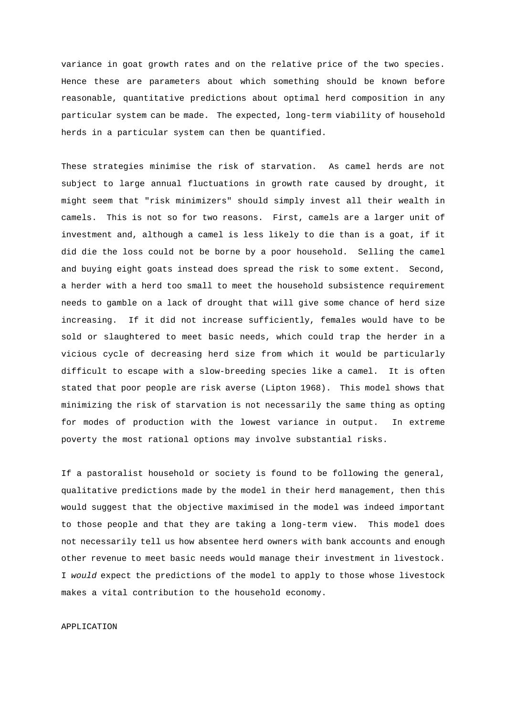variance in goat growth rates and on the relative price of the two species. Hence these are parameters about which something should be known before reasonable, quantitative predictions about optimal herd composition in any particular system can be made. The expected, long-term viability of household herds in a particular system can then be quantified.

These strategies minimise the risk of starvation. As camel herds are not subject to large annual fluctuations in growth rate caused by drought, it might seem that "risk minimizers" should simply invest all their wealth in camels. This is not so for two reasons. First, camels are a larger unit of investment and, although a camel is less likely to die than is a goat, if it did die the loss could not be borne by a poor household. Selling the camel and buying eight goats instead does spread the risk to some extent. Second, a herder with a herd too small to meet the household subsistence requirement needs to gamble on a lack of drought that will give some chance of herd size increasing. If it did not increase sufficiently, females would have to be sold or slaughtered to meet basic needs, which could trap the herder in a vicious cycle of decreasing herd size from which it would be particularly difficult to escape with a slow-breeding species like a camel. It is often stated that poor people are risk averse (Lipton 1968). This model shows that minimizing the risk of starvation is not necessarily the same thing as opting for modes of production with the lowest variance in output. In extreme poverty the most rational options may involve substantial risks.

If a pastoralist household or society is found to be following the general, qualitative predictions made by the model in their herd management, then this would suggest that the objective maximised in the model was indeed important to those people and that they are taking a long-term view. This model does not necessarily tell us how absentee herd owners with bank accounts and enough other revenue to meet basic needs would manage their investment in livestock. I would expect the predictions of the model to apply to those whose livestock makes a vital contribution to the household economy.

### APPLICATION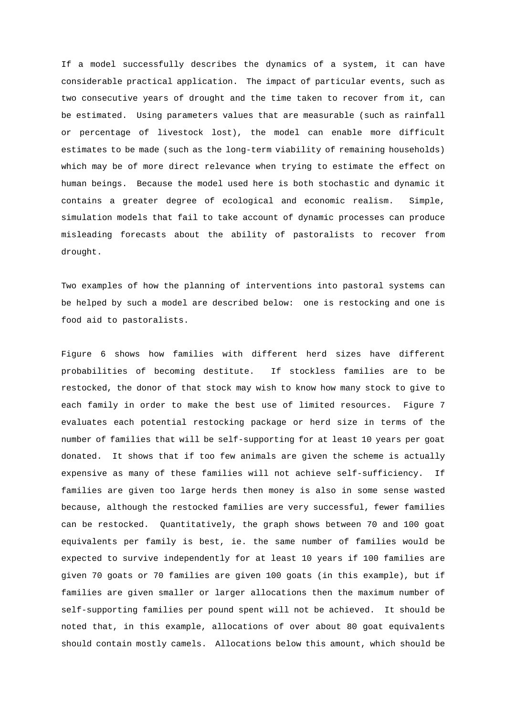If a model successfully describes the dynamics of a system, it can have considerable practical application. The impact of particular events, such as two consecutive years of drought and the time taken to recover from it, can be estimated. Using parameters values that are measurable (such as rainfall or percentage of livestock lost), the model can enable more difficult estimates to be made (such as the long-term viability of remaining households) which may be of more direct relevance when trying to estimate the effect on human beings. Because the model used here is both stochastic and dynamic it contains a greater degree of ecological and economic realism. Simple, simulation models that fail to take account of dynamic processes can produce misleading forecasts about the ability of pastoralists to recover from drought.

Two examples of how the planning of interventions into pastoral systems can be helped by such a model are described below: one is restocking and one is food aid to pastoralists.

Figure 6 shows how families with different herd sizes have different probabilities of becoming destitute. If stockless families are to be restocked, the donor of that stock may wish to know how many stock to give to each family in order to make the best use of limited resources. Figure 7 evaluates each potential restocking package or herd size in terms of the number of families that will be self-supporting for at least 10 years per goat donated. It shows that if too few animals are given the scheme is actually expensive as many of these families will not achieve self-sufficiency. If families are given too large herds then money is also in some sense wasted because, although the restocked families are very successful, fewer families can be restocked. Quantitatively, the graph shows between 70 and 100 goat equivalents per family is best, ie. the same number of families would be expected to survive independently for at least 10 years if 100 families are given 70 goats or 70 families are given 100 goats (in this example), but if families are given smaller or larger allocations then the maximum number of self-supporting families per pound spent will not be achieved. It should be noted that, in this example, allocations of over about 80 goat equivalents should contain mostly camels. Allocations below this amount, which should be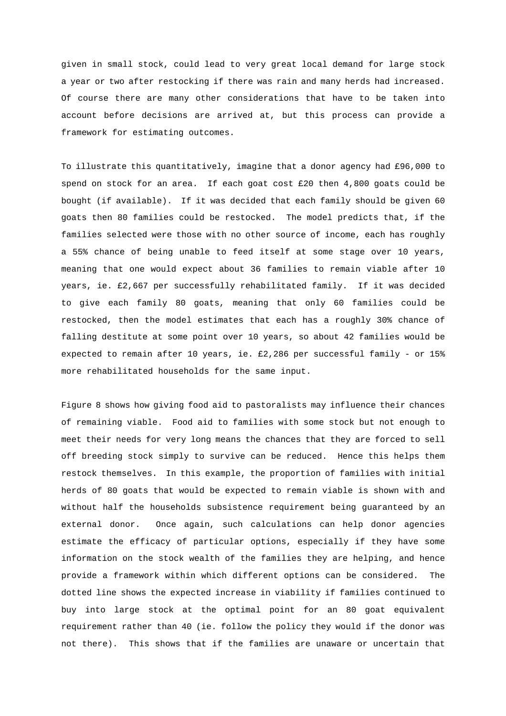given in small stock, could lead to very great local demand for large stock a year or two after restocking if there was rain and many herds had increased. Of course there are many other considerations that have to be taken into account before decisions are arrived at, but this process can provide a framework for estimating outcomes.

To illustrate this quantitatively, imagine that a donor agency had £96,000 to spend on stock for an area. If each goat cost £20 then 4,800 goats could be bought (if available). If it was decided that each family should be given 60 goats then 80 families could be restocked. The model predicts that, if the families selected were those with no other source of income, each has roughly a 55% chance of being unable to feed itself at some stage over 10 years, meaning that one would expect about 36 families to remain viable after 10 years, ie. £2,667 per successfully rehabilitated family. If it was decided to give each family 80 goats, meaning that only 60 families could be restocked, then the model estimates that each has a roughly 30% chance of falling destitute at some point over 10 years, so about 42 families would be expected to remain after 10 years, ie. £2,286 per successful family - or 15% more rehabilitated households for the same input.

Figure 8 shows how giving food aid to pastoralists may influence their chances of remaining viable. Food aid to families with some stock but not enough to meet their needs for very long means the chances that they are forced to sell off breeding stock simply to survive can be reduced. Hence this helps them restock themselves. In this example, the proportion of families with initial herds of 80 goats that would be expected to remain viable is shown with and without half the households subsistence requirement being guaranteed by an external donor. Once again, such calculations can help donor agencies estimate the efficacy of particular options, especially if they have some information on the stock wealth of the families they are helping, and hence provide a framework within which different options can be considered. The dotted line shows the expected increase in viability if families continued to buy into large stock at the optimal point for an 80 goat equivalent requirement rather than 40 (ie. follow the policy they would if the donor was not there). This shows that if the families are unaware or uncertain that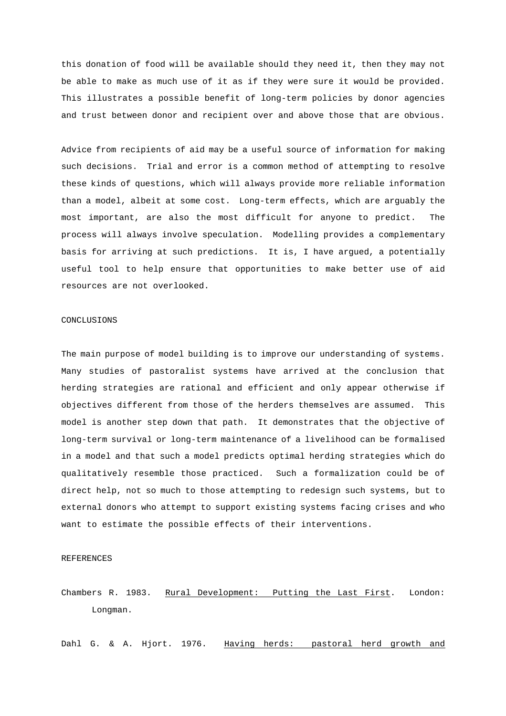this donation of food will be available should they need it, then they may not be able to make as much use of it as if they were sure it would be provided. This illustrates a possible benefit of long-term policies by donor agencies and trust between donor and recipient over and above those that are obvious.

Advice from recipients of aid may be a useful source of information for making such decisions. Trial and error is a common method of attempting to resolve these kinds of questions, which will always provide more reliable information than a model, albeit at some cost. Long-term effects, which are arguably the most important, are also the most difficult for anyone to predict. The process will always involve speculation. Modelling provides a complementary basis for arriving at such predictions. It is, I have argued, a potentially useful tool to help ensure that opportunities to make better use of aid resources are not overlooked.

## CONCLUSIONS

The main purpose of model building is to improve our understanding of systems. Many studies of pastoralist systems have arrived at the conclusion that herding strategies are rational and efficient and only appear otherwise if objectives different from those of the herders themselves are assumed. This model is another step down that path. It demonstrates that the objective of long-term survival or long-term maintenance of a livelihood can be formalised in a model and that such a model predicts optimal herding strategies which do qualitatively resemble those practiced. Such a formalization could be of direct help, not so much to those attempting to redesign such systems, but to external donors who attempt to support existing systems facing crises and who want to estimate the possible effects of their interventions.

## REFERENCES

Chambers R. 1983. Rural Development: Putting the Last First. London: Longman.

Dahl G. & A. Hjort. 1976. Having herds: pastoral herd growth and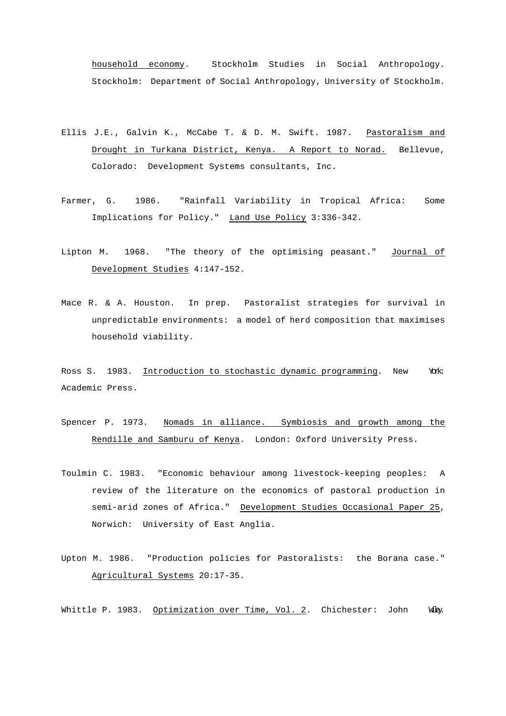household economy. Stockholm Studies in Social Anthropology. Stockholm: Department of Social Anthropology, University of Stockholm.

- Ellis J.E., Galvin K., McCabe T. & D. M. Swift. 1987. Pastoralism and Drought in Turkana District, Kenya. A Report to Norad. Bellevue, Colorado: Development Systems consultants, Inc.
- Farmer, G. 1986. "Rainfall Variability in Tropical Africa: Some Implications for Policy." Land Use Policy 3:336-342.
- Lipton M. 1968. "The theory of the optimising peasant." Journal of Development Studies 4:147-152.
- Mace R. & A. Houston. In prep. Pastoralist strategies for survival in unpredictable environments: a model of herd composition that maximises household viability.

Ross S. 1983. Introduction to stochastic dynamic programming. New York: Academic Press.

- Spencer P. 1973. Nomads in alliance. Symbiosis and growth among the Rendille and Samburu of Kenya. London: Oxford University Press.
- Toulmin C. 1983. "Economic behaviour among livestock-keeping peoples: A review of the literature on the economics of pastoral production in semi-arid zones of Africa." Development Studies Occasional Paper 25, Norwich: University of East Anglia.
- Upton M. 1986. "Production policies for Pastoralists: the Borana case." Agricultural Systems 20:17-35.

Whittle P. 1983. Optimization over Time, Vol. 2. Chichester: John Wiley.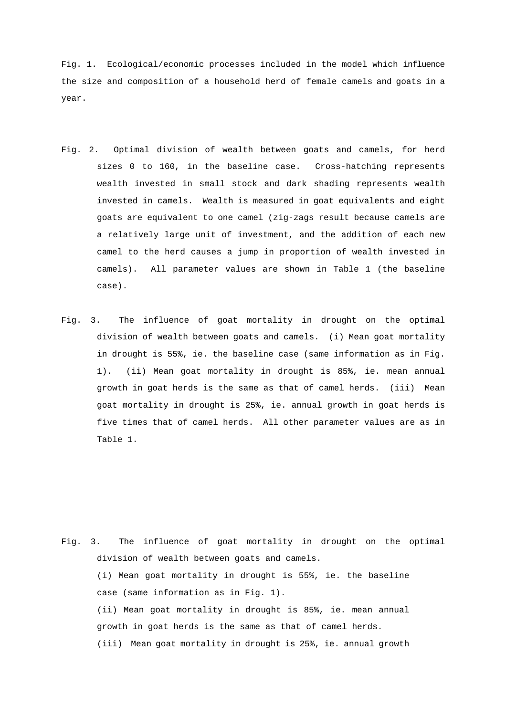Fig. 1. Ecological/economic processes included in the model which influence the size and composition of a household herd of female camels and goats in a year.

- Fig. 2. Optimal division of wealth between goats and camels, for herd sizes 0 to 160, in the baseline case. Cross-hatching represents wealth invested in small stock and dark shading represents wealth invested in camels. Wealth is measured in goat equivalents and eight goats are equivalent to one camel (zig-zags result because camels are a relatively large unit of investment, and the addition of each new camel to the herd causes a jump in proportion of wealth invested in camels). All parameter values are shown in Table 1 (the baseline case).
- Fig. 3. The influence of goat mortality in drought on the optimal division of wealth between goats and camels. (i) Mean goat mortality in drought is 55%, ie. the baseline case (same information as in Fig. 1). (ii) Mean goat mortality in drought is 85%, ie. mean annual growth in goat herds is the same as that of camel herds. (iii) Mean goat mortality in drought is 25%, ie. annual growth in goat herds is five times that of camel herds. All other parameter values are as in Table 1.

Fig. 3. The influence of goat mortality in drought on the optimal division of wealth between goats and camels. (i) Mean goat mortality in drought is 55%, ie. the baseline case (same information as in Fig. 1). (ii) Mean goat mortality in drought is 85%, ie. mean annual growth in goat herds is the same as that of camel herds. (iii) Mean goat mortality in drought is 25%, ie. annual growth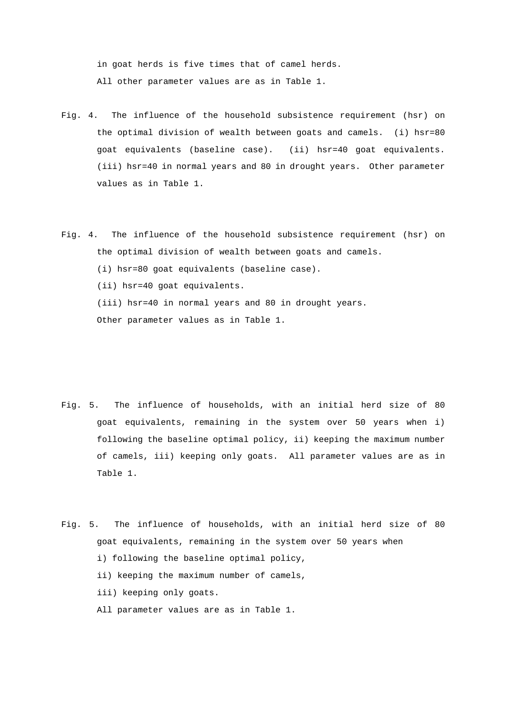in goat herds is five times that of camel herds. All other parameter values are as in Table 1.

- Fig. 4. The influence of the household subsistence requirement (hsr) on the optimal division of wealth between goats and camels. (i) hsr=80 goat equivalents (baseline case). (ii) hsr=40 goat equivalents. (iii) hsr=40 in normal years and 80 in drought years. Other parameter values as in Table 1.
- Fig. 4. The influence of the household subsistence requirement (hsr) on the optimal division of wealth between goats and camels. (i) hsr=80 goat equivalents (baseline case). (ii) hsr=40 goat equivalents. (iii) hsr=40 in normal years and 80 in drought years. Other parameter values as in Table 1.
- Fig. 5. The influence of households, with an initial herd size of 80 goat equivalents, remaining in the system over 50 years when i) following the baseline optimal policy, ii) keeping the maximum number of camels, iii) keeping only goats. All parameter values are as in Table 1.
- Fig. 5. The influence of households, with an initial herd size of 80 goat equivalents, remaining in the system over 50 years when i) following the baseline optimal policy,
	- ii) keeping the maximum number of camels,
	- iii) keeping only goats.
	- All parameter values are as in Table 1.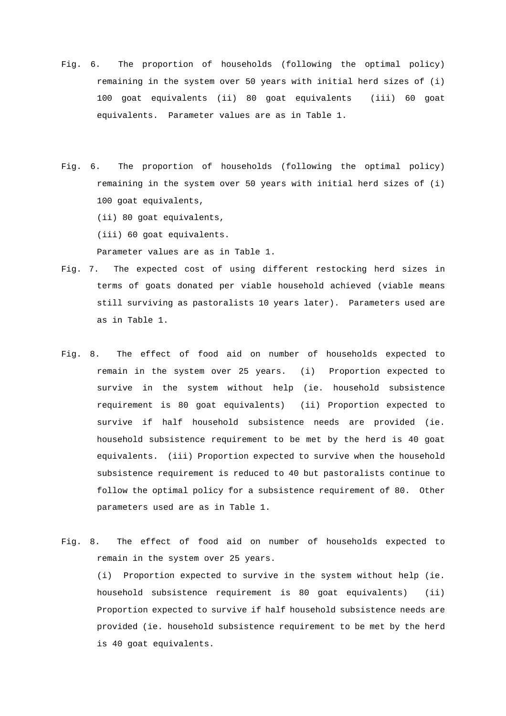- Fig. 6. The proportion of households (following the optimal policy) remaining in the system over 50 years with initial herd sizes of (i) 100 goat equivalents (ii) 80 goat equivalents (iii) 60 goat equivalents. Parameter values are as in Table 1.
- Fig. 6. The proportion of households (following the optimal policy) remaining in the system over 50 years with initial herd sizes of (i) 100 goat equivalents,

(ii) 80 goat equivalents,

(iii) 60 goat equivalents.

Parameter values are as in Table 1.

- Fig. 7. The expected cost of using different restocking herd sizes in terms of goats donated per viable household achieved (viable means still surviving as pastoralists 10 years later). Parameters used are as in Table 1.
- Fig. 8. The effect of food aid on number of households expected to remain in the system over 25 years. (i) Proportion expected to survive in the system without help (ie. household subsistence requirement is 80 goat equivalents) (ii) Proportion expected to survive if half household subsistence needs are provided (ie. household subsistence requirement to be met by the herd is 40 goat equivalents. (iii) Proportion expected to survive when the household subsistence requirement is reduced to 40 but pastoralists continue to follow the optimal policy for a subsistence requirement of 80. Other parameters used are as in Table 1.
- Fig. 8. The effect of food aid on number of households expected to remain in the system over 25 years.

(i) Proportion expected to survive in the system without help (ie. household subsistence requirement is 80 goat equivalents) (ii) Proportion expected to survive if half household subsistence needs are provided (ie. household subsistence requirement to be met by the herd is 40 goat equivalents.